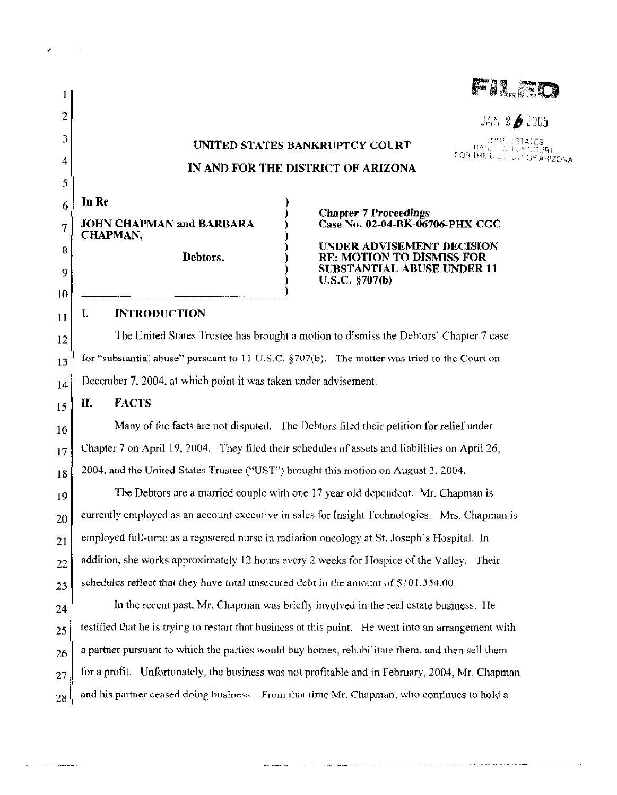| 2  | JAN 2∌2005                                                                                           |
|----|------------------------------------------------------------------------------------------------------|
| 3  | UNITO STATES<br>UNITED STATES BANKRUPTCY COURT                                                       |
| 4  | FOR THE DISTINGT OF ARIZONA<br>IN AND FOR THE DISTRICT OF ARIZONA                                    |
| 5  |                                                                                                      |
| 6  | In Re<br><b>Chapter 7 Proceedings</b>                                                                |
| 7  | <b>JOHN CHAPMAN and BARBARA</b><br>Case No. 02-04-BK-06706-PHX-CGC<br>CHAPMAN,                       |
| 8  | UNDER ADVISEMENT DECISION<br>Debtors.<br><b>RE: MOTION TO DISMISS FOR</b>                            |
| 9  | <b>SUBSTANTIAL ABUSE UNDER 11</b><br>U.S.C. §707(b)                                                  |
| 10 |                                                                                                      |
| 11 | <b>INTRODUCTION</b><br>I.                                                                            |
| 12 | The United States Trustee has brought a motion to dismiss the Debtors' Chapter 7 case                |
| 13 | for "substantial abuse" pursuant to 11 U.S.C. §707(b). The matter was tried to the Court on          |
| 14 | December 7, 2004, at which point it was taken under advisement.                                      |
| 15 | <b>FACTS</b><br>П.                                                                                   |
| 16 | Many of the facts are not disputed. The Debtors filed their petition for relief under                |
| 17 | Chapter 7 on April 19, 2004. They filed their schedules of assets and liabilities on April 26,       |
| 18 | 2004, and the United States Trustee ("UST") brought this motion on August 3, 2004.                   |
| 19 | The Debtors are a married couple with one 17 year old dependent. Mr. Chapman is                      |
| 20 | currently employed as an account executive in sales for Insight Technologies. Mrs. Chapman is        |
| 21 | employed full-time as a registered nurse in radiation oncology at St. Joseph's Hospital. In          |
| 22 | addition, she works approximately 12 hours every 2 weeks for Hospice of the Valley. Their            |
| 23 | schedules reflect that they have total unsecured debt in the amount of \$101,554.00.                 |
| 24 | In the recent past, Mr. Chapman was briefly involved in the real estate business. He                 |
| 25 | testified that he is trying to restart that business at this point. He went into an arrangement with |
| 26 | a partner pursuant to which the parties would buy homes, rehabilitate them, and then sell them       |
| 27 | for a profit. Unfortunately, the business was not profitable and in February, 2004, Mr. Chapman      |
| 28 | and his partner ceased doing business. From that time Mr. Chapman, who continues to hold a           |

 $\mathbf{z}^{(i)}$  and  $\mathbf{z}^{(i)}$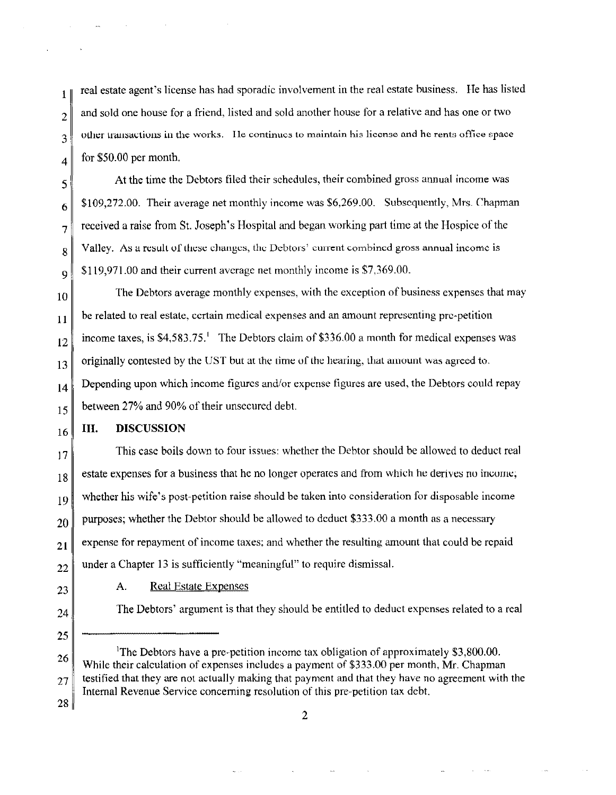1 2 real estate agent's license has had sporadic involvement in the real estate business. He has listed and sold one house for a friend, listed and sold another house for a relative and has one or two 3 vther transactions in the works. He continues to maintain his license and he rents office space 4 for \$50.00 per month.

5 6 7 8  $\mathbf Q$ At the time the Debtors filed their schedules, their combined gross atmual income was \$109,272.00. Their average net monthly income was \$6,269.00. Subsequently, Mrs. Chapman received a raise from St. Joseph's Hospital and began working part time at the Hospice ofthe Valley. As a result of these changes, the Debtors' current combined gross annual income is \$119,971.00 and their current average net monthly income is \$7,369.00.

10 11 12 13 14 15 The Debtors average monthly expenses, with the exception of business expenses that may be related to real estate, certain medical expenses and an amount representing pre-petition income taxes, is  $$4,583.75<sup>1</sup>$  The Debtors claim of \$336.00 a month for medical expenses was originally contested by the UST but at the time of the hearing, that amount was agreed to. Depending upon which income figures and/or expense figures are used, the Debtors could repay between 27% and 90% of their unsecured debt.

#### 16 **III. DISCUSSION**

17 18 19 20 21 22 This case boils down to four issues: whether the Debtor should be allowed to deduct real estate expenses for a business that he no longer operates and from which he derives no income; whether his wife's post-petition raise should be taken into consideration for disposable income purposes; whether the Debtor should be allowed to deduct \$333.00 a month as a necessary expense for repayment of income taxes; and whether the resulting amount that could be repaid under a Chapter 13 is sufficiently "meaningful" to require dismissal.

23

## A. Real Estate Expenses

 $24$  The Debtors' argument is that they should be entitled to deduct expenses related to a real

25

26 27 <sup>1</sup>The Debtors have a pre-petition income tax obligation of approximately \$3,800.00. While their calculation of expenses includes a payment of \$333.00 per month, Mr. Chapman testified that they are not actually making that payment and that they have no agreement with the Internal Revenue Service concerning resolution of this pre-petition tax debt.

28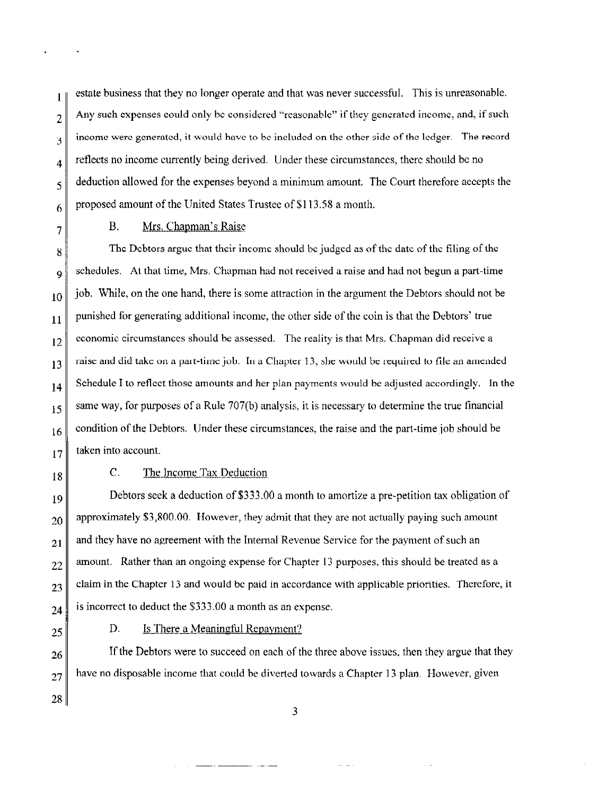**l**  2 j 4 5 6 estate business that they no longer operate and that was never successful. This is unreasonable. Any such expenses could only be considered "reasonable" if they generated income, and, if such income were generated, it would have to be included on the other side of the ledger. The record reflects no income currently being derived. Under these circumstances, there should be no deduction allowed for the expenses beyond a minimum amount. The Court therefore accepts the proposed amount of the United States Trustee of \$113.58 a month.

7

# B. Mrs. Chapman's Raise

8 9 lO 11 12 13 14 15 16 17 The Debtors argue that their income should be judged as of the date of the filing of the schedules. At that time, Mrs. Chapman had not received a raise and had not begun a part-time job. While, on the one hand, there is some attraction in the argument the Debtors should not be punished for generating additional income, the other side of the coin is that the Debtors' true economic circumstances should be assessed. The reality is that Mrs. Chapman did receive a raise and did take on a part-time job. In a Chapter 13, she would be required to file an amended Schedule I to reflect those amounts and her plan payments would be adjusted accordingly. In the same way, for purposes of a Rule 707(b) analysis, it is necessary to determine the true financial condition of the Debtors. Under these circumstances, the raise and the part-time job should be taken into account.

18

# C. The Income Tax Deduction

19 20 21 22 23 24 Debtors seek a deduction of \$333.00 a month to amortize a pre-petition tax obligation of approximately \$3,800.00. However, they admit that they are not actually paying such amount and they have no agreement with the Internal Revenue Service for the payment of such an amount. Rather than an ongoing expense for Chapter 13 purposes, this should be treated as a claim in the Chapter 13 and would be paid in accordance with applicable priorities. Therefore, it is incorrect to deduct the \$333.00 a month as an expense.

25

26

27

28

### D. Is There a Meaningful Repayment?

.<br>Andre de la componentation de la componentation de la componentation de la componentation de la componentation

.<br>Waxaa iyo waxaa iyo waxa

If the Debtors were to succeed on each of the three above issues, then they argue that they have no disposable income that could be diverted towards a Chapter 13 plan. However, given

3